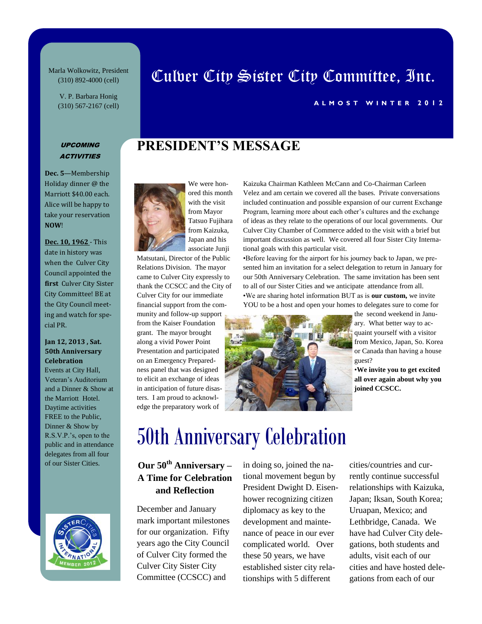Marla Wolkowitz, President (310) 892-4000 (cell)

> V. P. Barbara Honig (310) 567-2167 (cell)

# Culver City Sister City Committee, Inc.

#### **A L M O S T W I N T E R 2012**

#### UPCOMING **ACTIVITIES**

**Dec. 5**—Membership Holiday dinner @ the Marriott \$40.00 each. Alice will be happy to take your reservation **NOW**!

**Dec. 10, 1962** - This date in history was when the Culver City Council appointed the **first** Culver City Sister City Committee! BE at the City Council meeting and watch for special PR.

#### **Jan 12, 2013 , Sat. 50th Anniversary Celebration**

Events at City Hall, Veteran's Auditorium and a Dinner & Show at the Marriott Hotel. Daytime activities FREE to the Public, Dinner & Show by R.S.V.P.'s, open to the public and in attendance delegates from all four of our Sister Cities.





ored this month with the visit from Mayor Tatsuo Fujihara from Kaizuka, Japan and his associate Junji

**PRESIDENT'S MESSAGE** 

Matsutani, Director of the Public Relations Division. The mayor came to Culver City expressly to thank the CCSCC and the City of Culver City for our immediate financial support from the community and follow-up support from the Kaiser Foundation grant. The mayor brought along a vivid Power Point Presentation and participated on an Emergency Preparedness panel that was designed to elicit an exchange of ideas in anticipation of future disasters. I am proud to acknowledge the preparatory work of

Kaizuka Chairman Kathleen McCann and Co-Chairman Carleen Velez and am certain we covered all the bases. Private conversations included continuation and possible expansion of our current Exchange Program, learning more about each other's cultures and the exchange of ideas as they relate to the operations of our local governments. Our Culver City Chamber of Commerce added to the visit with a brief but important discussion as well. We covered all four Sister City International goals with this particular visit.

•Before leaving for the airport for his journey back to Japan, we presented him an invitation for a select delegation to return in January for our 50th Anniversary Celebration. The same invitation has been sent to all of our Sister Cities and we anticipate attendance from all. •We are sharing hotel information BUT as is **our custom,** we invite YOU to be a host and open your homes to delegates sure to come for



the second weekend in January. What better way to acquaint yourself with a visitor from Mexico, Japan, So. Korea or Canada than having a house guest?

•**We invite you to get excited all over again about why you joined CCSCC.**

# 50th Anniversary Celebration

### **Our 50th Anniversary – A Time for Celebration and Reflection**

December and January mark important milestones for our organization. Fifty years ago the City Council of Culver City formed the Culver City Sister City Committee (CCSCC) and

in doing so, joined the national movement begun by President Dwight D. Eisenhower recognizing citizen diplomacy as key to the development and maintenance of peace in our ever complicated world. Over these 50 years, we have established sister city relationships with 5 different

cities/countries and currently continue successful relationships with Kaizuka, Japan; Iksan, South Korea; Uruapan, Mexico; and Lethbridge, Canada. We have had Culver City delegations, both students and adults, visit each of our cities and have hosted delegations from each of our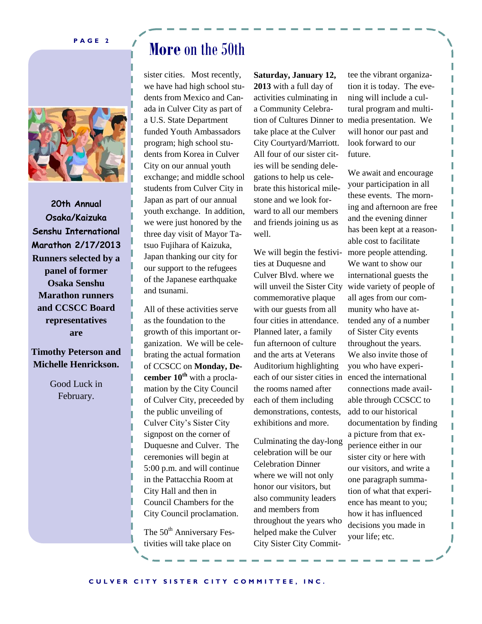**P A G E 2**



**20th Annual Osaka/Kaizuka Senshu International Marathon 2/17/2013 Runners selected by a panel of former Osaka Senshu Marathon runners and CCSCC Board representatives are**

### **Timothy Peterson and Michelle Henrickson.**

Good Luck in February.

# **More** on the 50th

sister cities. Most recently, we have had high school students from Mexico and Canada in Culver City as part of a U.S. State Department funded Youth Ambassadors program; high school students from Korea in Culver City on our annual youth exchange; and middle school students from Culver City in Japan as part of our annual youth exchange. In addition, we were just honored by the three day visit of Mayor Tatsuo Fujihara of Kaizuka, Japan thanking our city for our support to the refugees of the Japanese earthquake and tsunami.

Duquesne and Culver. The  $5:00$  p.m. and will continue Celebration in the Pattacchia Room at where we w City Council proclamation. and mem All of these activities serve as the foundation to the growth of this important organization. We will be celebrating the actual formation of CCSCC on **Monday, December 10th** with a proclamation by the City Council of Culver City, preceeded by the public unveiling of Culver City's Sister City signpost on the corner of ceremonies will begin at City Hall and then in Council Chambers for the

The 50<sup>th</sup> Anniversary Festivities will take place on

 $\nu$  the and friends joining us as **Primer** women. tion of Cultures Dinner to media presentation. We **Saturday, January 12, 2013** with a full day of activities culminating in a Community Celebratake place at the Culver City Courtyard/Marriott. All four of our sister cities will be sending delegations to help us celebrate this historical milestone and we look forward to all our members well.

 $W_{\text{tot}}$ , We will begin the festivi- $\frac{150}{2000}$  ties at Duquesne and  $\frac{1}{2}$  Culver Blvd. where we will unveil the Sister City commemorative plaque each of our sister cities in enced the international with our guests from all four cities in attendance. Planned later, a family fun afternoon of culture and the arts at Veterans Auditorium highlighting the rooms named after each of them including demonstrations, contests, exhibitions and more.

 $h_{\text{on}}$  honor our visitors, but  $\frac{d}{dx}$  also community leaders  $F$ es-helped make the Culver Culminating the day-long celebration will be our Celebration Dinner where we will not only and members from throughout the years who City Sister City Committee the vibrant organization it is today. The evening will include a cultural program and multiwill honor our past and look forward to our future.

We await and encourage your participation in all these events. The morning and afternoon are free and the evening dinner has been kept at a reasonable cost to facilitate more people attending. We want to show our international guests the wide variety of people of all ages from our community who have attended any of a number of Sister City events throughout the years. We also invite those of you who have expericonnections made available through CCSCC to add to our historical documentation by finding a picture from that experience either in our sister city or here with our visitors, and write a one paragraph summation of what that experience has meant to you; how it has influenced decisions you made in your life; etc.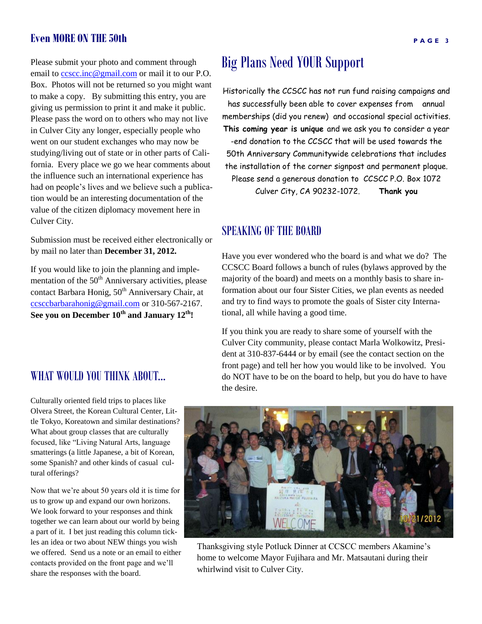### **Even MORE ON THE 50th**

Please submit your photo and comment through email to cosco.inc@gmail.com or mail it to our P.O. Box. Photos will not be returned so you might want to make a copy. By submitting this entry, you are giving us permission to print it and make it public. Please pass the word on to others who may not live in Culver City any longer, especially people who went on our student exchanges who may now be studying/living out of state or in other parts of California. Every place we go we hear comments about the influence such an international experience has had on people's lives and we believe such a publication would be an interesting documentation of the value of the citizen diplomacy movement here in Culver City.

Submission must be received either electronically or by mail no later than **December 31, 2012.**

If you would like to join the planning and implementation of the  $50<sup>th</sup>$  Anniversary activities, please contact Barbara Honig, 50<sup>th</sup> Anniversary Chair, at [ccsccbarbarahonig@gmail.com](mailto:ccsccbarbarahonig@gmail.com) or 310-567-2167. **See you on December 10th and January 12th!**

## Big Plans Need YOUR Support

Historically the CCSCC has not run fund raising campaigns and has successfully been able to cover expenses from annual memberships (did you renew) and occasional special activities. **This coming year is unique** and we ask you to consider a year -end donation to the CCSCC that will be used towards the 50th Anniversary Communitywide celebrations that includes the installation of the corner signpost and permanent plaque. Please send a generous donation to CCSCC P.O. Box 1072 Culver City, CA 90232-1072. **Thank you**

### SPEAKING OF THE BOARD

Have you ever wondered who the board is and what we do? The CCSCC Board follows a bunch of rules (bylaws approved by the majority of the board) and meets on a monthly basis to share information about our four Sister Cities, we plan events as needed and try to find ways to promote the goals of Sister city International, all while having a good time.

If you think you are ready to share some of yourself with the Culver City community, please contact Marla Wolkowitz, President at 310-837-6444 or by email (see the contact section on the front page) and tell her how you would like to be involved. You do NOT have to be on the board to help, but you do have to have the desire.

#### Culturally oriented field trips to places like Olvera Street, the Korean Cultural Center, Little Tokyo, Koreatown and similar destinations? What about group classes that are culturally focused, like "Living Natural Arts, language smatterings (a little Japanese, a bit of Korean, some Spanish? and other kinds of casual cultural offerings?

WHAT WOULD YOU THINK ABOUT...

Now that we're about 50 years old it is time for us to grow up and expand our own horizons. We look forward to your responses and think together we can learn about our world by being a part of it. I bet just reading this column tickles an idea or two about NEW things you wish we offered. Send us a note or an email to either contacts provided on the front page and we'll share the responses with the board.

### Thanksgiving style Potluck Dinner at CCSCC members Akamine's home to welcome Mayor Fujihara and Mr. Matsautani during their whirlwind visit to Culver City.